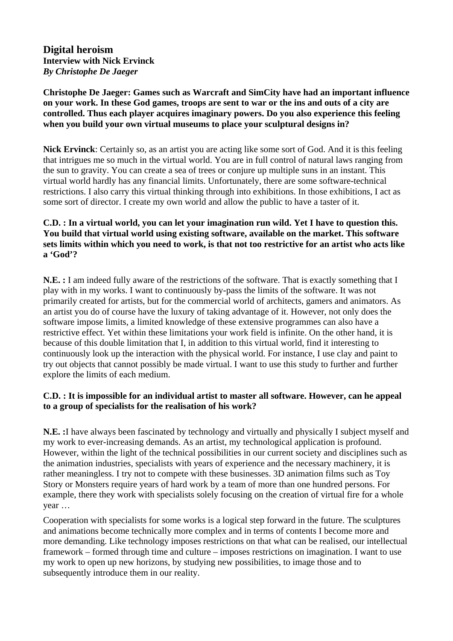**Digital heroism Interview with Nick Ervinck**  *By Christophe De Jaeger*

**Christophe De Jaeger: Games such as Warcraft and SimCity have had an important influence on your work. In these God games, troops are sent to war or the ins and outs of a city are controlled. Thus each player acquires imaginary powers. Do you also experience this feeling when you build your own virtual museums to place your sculptural designs in?** 

**Nick Ervinck**: Certainly so, as an artist you are acting like some sort of God. And it is this feeling that intrigues me so much in the virtual world. You are in full control of natural laws ranging from the sun to gravity. You can create a sea of trees or conjure up multiple suns in an instant. This virtual world hardly has any financial limits. Unfortunately, there are some software-technical restrictions. I also carry this virtual thinking through into exhibitions. In those exhibitions, I act as some sort of director. I create my own world and allow the public to have a taster of it.

# **C.D. : In a virtual world, you can let your imagination run wild. Yet I have to question this. You build that virtual world using existing software, available on the market. This software sets limits within which you need to work, is that not too restrictive for an artist who acts like a 'God'?**

**N.E. :** I am indeed fully aware of the restrictions of the software. That is exactly something that I play with in my works. I want to continuously by-pass the limits of the software. It was not primarily created for artists, but for the commercial world of architects, gamers and animators. As an artist you do of course have the luxury of taking advantage of it. However, not only does the software impose limits, a limited knowledge of these extensive programmes can also have a restrictive effect. Yet within these limitations your work field is infinite. On the other hand, it is because of this double limitation that I, in addition to this virtual world, find it interesting to continuously look up the interaction with the physical world. For instance, I use clay and paint to try out objects that cannot possibly be made virtual. I want to use this study to further and further explore the limits of each medium.

#### **C.D. : It is impossible for an individual artist to master all software. However, can he appeal to a group of specialists for the realisation of his work?**

**N.E. :**I have always been fascinated by technology and virtually and physically I subject myself and my work to ever-increasing demands. As an artist, my technological application is profound. However, within the light of the technical possibilities in our current society and disciplines such as the animation industries, specialists with years of experience and the necessary machinery, it is rather meaningless. I try not to compete with these businesses. 3D animation films such as Toy Story or Monsters require years of hard work by a team of more than one hundred persons. For example, there they work with specialists solely focusing on the creation of virtual fire for a whole year …

Cooperation with specialists for some works is a logical step forward in the future. The sculptures and animations become technically more complex and in terms of contents I become more and more demanding. Like technology imposes restrictions on that what can be realised, our intellectual framework – formed through time and culture – imposes restrictions on imagination. I want to use my work to open up new horizons, by studying new possibilities, to image those and to subsequently introduce them in our reality.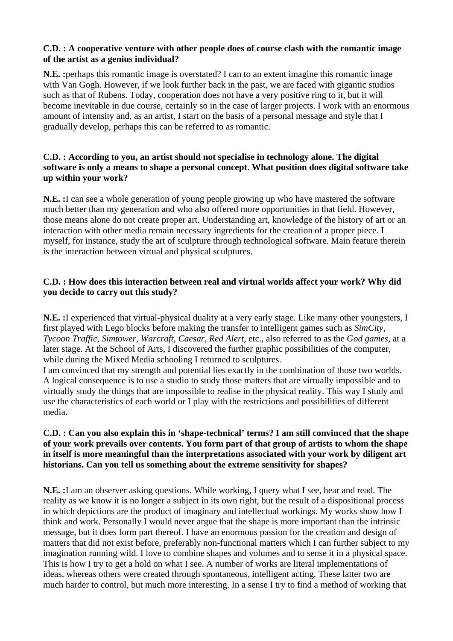#### **C.D. : A cooperative venture with other people does of course clash with the romantic image of the artist as a genius individual?**

**N.E. :**perhaps this romantic image is overstated? I can to an extent imagine this romantic image with Van Gogh. However, if we look further back in the past, we are faced with gigantic studios such as that of Rubens. Today, cooperation does not have a very positive ring to it, but it will become inevitable in due course, certainly so in the case of larger projects. I work with an enormous amount of intensity and, as an artist, I start on the basis of a personal message and style that I gradually develop, perhaps this can be referred to as romantic.

# **C.D. : According to you, an artist should not specialise in technology alone. The digital software is only a means to shape a personal concept. What position does digital software take up within your work?**

**N.E. :**I can see a whole generation of young people growing up who have mastered the software much better than my generation and who also offered more opportunities in that field. However, those means alone do not create proper art. Understanding art, knowledge of the history of art or an interaction with other media remain necessary ingredients for the creation of a proper piece. I myself, for instance, study the art of sculpture through technological software. Main feature therein is the interaction between virtual and physical sculptures.

## **C.D. : How does this interaction between real and virtual worlds affect your work? Why did you decide to carry out this study?**

**N.E. :**I experienced that virtual-physical duality at a very early stage. Like many other youngsters, I first played with Lego blocks before making the transfer to intelligent games such as *SimCity*, *Tycoon Traffic*, *Simtower*, *Warcraft*, *Caesar*, *Red Alert*, etc., also referred to as the *God games*, at a later stage. At the School of Arts, I discovered the further graphic possibilities of the computer, while during the Mixed Media schooling I returned to sculptures.

I am convinced that my strength and potential lies exactly in the combination of those two worlds. A logical consequence is to use a studio to study those matters that are virtually impossible and to virtually study the things that are impossible to realise in the physical reality. This way I study and use the characteristics of each world or I play with the restrictions and possibilities of different media.

## **C.D. : Can you also explain this in 'shape-technical' terms? I am still convinced that the shape of your work prevails over contents. You form part of that group of artists to whom the shape in itself is more meaningful than the interpretations associated with your work by diligent art historians. Can you tell us something about the extreme sensitivity for shapes?**

**N.E. :**I am an observer asking questions. While working, I query what I see, hear and read. The reality as we know it is no longer a subject in its own right, but the result of a dispositional process in which depictions are the product of imaginary and intellectual workings. My works show how I think and work. Personally I would never argue that the shape is more important than the intrinsic message, but it does form part thereof. I have an enormous passion for the creation and design of matters that did not exist before, preferably non-functional matters which I can further subject to my imagination running wild. I love to combine shapes and volumes and to sense it in a physical space. This is how I try to get a hold on what I see. A number of works are literal implementations of ideas, whereas others were created through spontaneous, intelligent acting. These latter two are much harder to control, but much more interesting. In a sense I try to find a method of working that